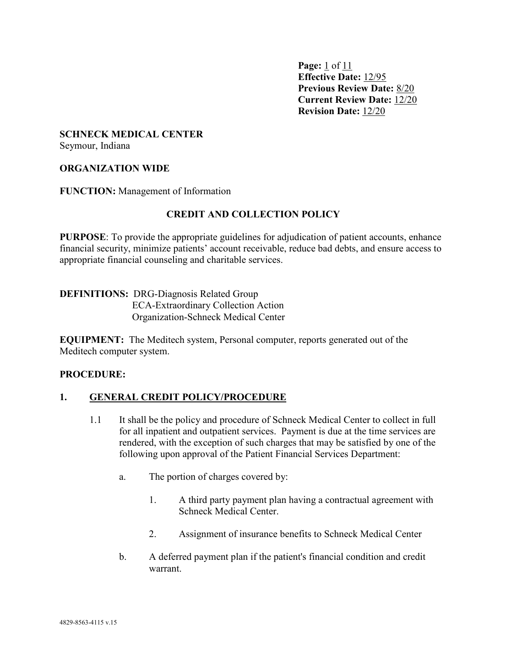**Page:** 1 of 11 **Effective Date:** 12/95 **Previous Review Date:** 8/20 **Current Review Date:** 12/20 **Revision Date:** 12/20

# **SCHNECK MEDICAL CENTER**

Seymour, Indiana

### **ORGANIZATION WIDE**

**FUNCTION:** Management of Information

### **CREDIT AND COLLECTION POLICY**

**PURPOSE**: To provide the appropriate guidelines for adjudication of patient accounts, enhance financial security, minimize patients' account receivable, reduce bad debts, and ensure access to appropriate financial counseling and charitable services.

**DEFINITIONS:** DRG-Diagnosis Related Group ECA-Extraordinary Collection Action Organization-Schneck Medical Center

**EQUIPMENT:** The Meditech system, Personal computer, reports generated out of the Meditech computer system.

#### **PROCEDURE:**

#### **1. GENERAL CREDIT POLICY/PROCEDURE**

- 1.1 It shall be the policy and procedure of Schneck Medical Center to collect in full for all inpatient and outpatient services. Payment is due at the time services are rendered, with the exception of such charges that may be satisfied by one of the following upon approval of the Patient Financial Services Department:
	- a. The portion of charges covered by:
		- 1. A third party payment plan having a contractual agreement with Schneck Medical Center.
		- 2. Assignment of insurance benefits to Schneck Medical Center
	- b. A deferred payment plan if the patient's financial condition and credit warrant.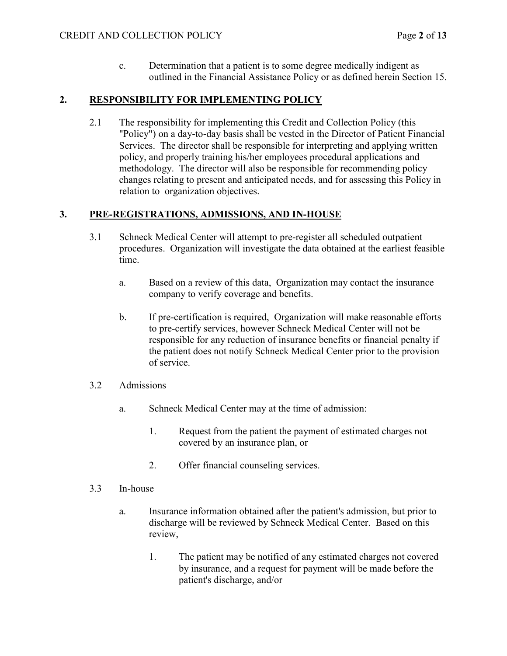c. Determination that a patient is to some degree medically indigent as outlined in the Financial Assistance Policy or as defined herein Section 15.

## **2. RESPONSIBILITY FOR IMPLEMENTING POLICY**

2.1 The responsibility for implementing this Credit and Collection Policy (this "Policy") on a day-to-day basis shall be vested in the Director of Patient Financial Services. The director shall be responsible for interpreting and applying written policy, and properly training his/her employees procedural applications and methodology. The director will also be responsible for recommending policy changes relating to present and anticipated needs, and for assessing this Policy in relation to organization objectives.

# **3. PRE-REGISTRATIONS, ADMISSIONS, AND IN-HOUSE**

- 3.1 Schneck Medical Center will attempt to pre-register all scheduled outpatient procedures. Organization will investigate the data obtained at the earliest feasible time.
	- a. Based on a review of this data, Organization may contact the insurance company to verify coverage and benefits.
	- b. If pre-certification is required, Organization will make reasonable efforts to pre-certify services, however Schneck Medical Center will not be responsible for any reduction of insurance benefits or financial penalty if the patient does not notify Schneck Medical Center prior to the provision of service.
- 3.2 Admissions
	- a. Schneck Medical Center may at the time of admission:
		- 1. Request from the patient the payment of estimated charges not covered by an insurance plan, or
		- 2. Offer financial counseling services.
- 3.3 In-house
	- a. Insurance information obtained after the patient's admission, but prior to discharge will be reviewed by Schneck Medical Center. Based on this review,
		- 1. The patient may be notified of any estimated charges not covered by insurance, and a request for payment will be made before the patient's discharge, and/or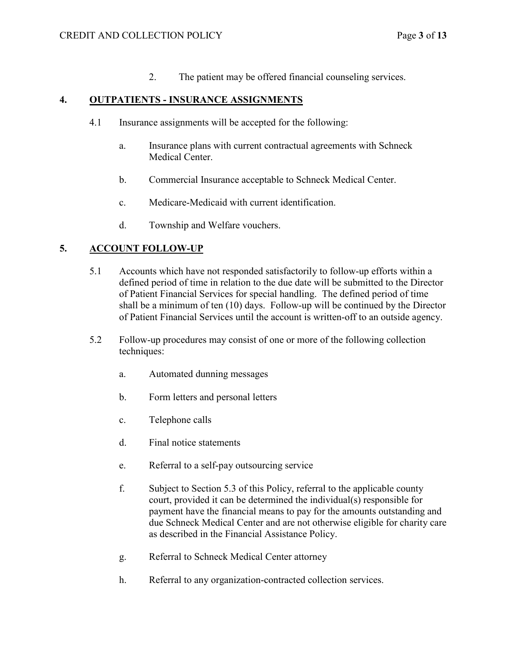2. The patient may be offered financial counseling services.

#### **4. OUTPATIENTS - INSURANCE ASSIGNMENTS**

- 4.1 Insurance assignments will be accepted for the following:
	- a. Insurance plans with current contractual agreements with Schneck Medical Center.
	- b. Commercial Insurance acceptable to Schneck Medical Center.
	- c. Medicare-Medicaid with current identification.
	- d. Township and Welfare vouchers.

### **5. ACCOUNT FOLLOW-UP**

- 5.1 Accounts which have not responded satisfactorily to follow-up efforts within a defined period of time in relation to the due date will be submitted to the Director of Patient Financial Services for special handling. The defined period of time shall be a minimum of ten (10) days. Follow-up will be continued by the Director of Patient Financial Services until the account is written-off to an outside agency.
- 5.2 Follow-up procedures may consist of one or more of the following collection techniques:
	- a. Automated dunning messages
	- b. Form letters and personal letters
	- c. Telephone calls
	- d. Final notice statements
	- e. Referral to a self-pay outsourcing service
	- f. Subject to Section 5.3 of this Policy, referral to the applicable county court, provided it can be determined the individual(s) responsible for payment have the financial means to pay for the amounts outstanding and due Schneck Medical Center and are not otherwise eligible for charity care as described in the Financial Assistance Policy.
	- g. Referral to Schneck Medical Center attorney
	- h. Referral to any organization-contracted collection services.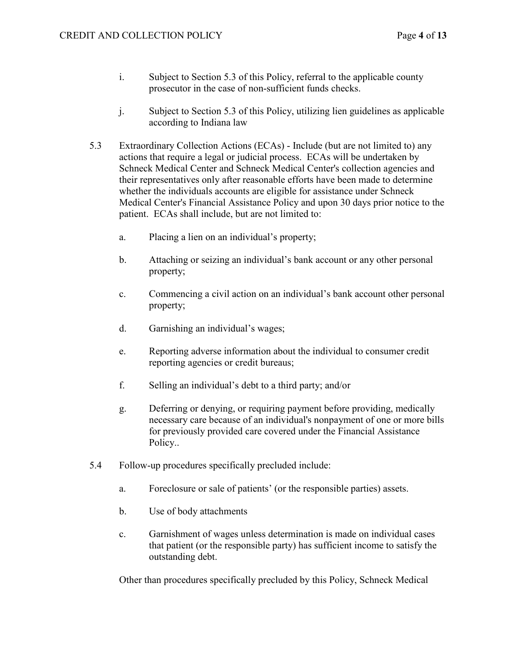- i. Subject to Section 5.3 of this Policy, referral to the applicable county prosecutor in the case of non-sufficient funds checks.
- j. Subject to Section 5.3 of this Policy, utilizing lien guidelines as applicable according to Indiana law
- 5.3 Extraordinary Collection Actions (ECAs) Include (but are not limited to) any actions that require a legal or judicial process. ECAs will be undertaken by Schneck Medical Center and Schneck Medical Center's collection agencies and their representatives only after reasonable efforts have been made to determine whether the individuals accounts are eligible for assistance under Schneck Medical Center's Financial Assistance Policy and upon 30 days prior notice to the patient. ECAs shall include, but are not limited to:
	- a. Placing a lien on an individual's property;
	- b. Attaching or seizing an individual's bank account or any other personal property;
	- c. Commencing a civil action on an individual's bank account other personal property;
	- d. Garnishing an individual's wages;
	- e. Reporting adverse information about the individual to consumer credit reporting agencies or credit bureaus;
	- f. Selling an individual's debt to a third party; and/or
	- g. Deferring or denying, or requiring payment before providing, medically necessary care because of an individual's nonpayment of one or more bills for previously provided care covered under the Financial Assistance Policy..
- 5.4 Follow-up procedures specifically precluded include:
	- a. Foreclosure or sale of patients' (or the responsible parties) assets.
	- b. Use of body attachments
	- c. Garnishment of wages unless determination is made on individual cases that patient (or the responsible party) has sufficient income to satisfy the outstanding debt.

Other than procedures specifically precluded by this Policy, Schneck Medical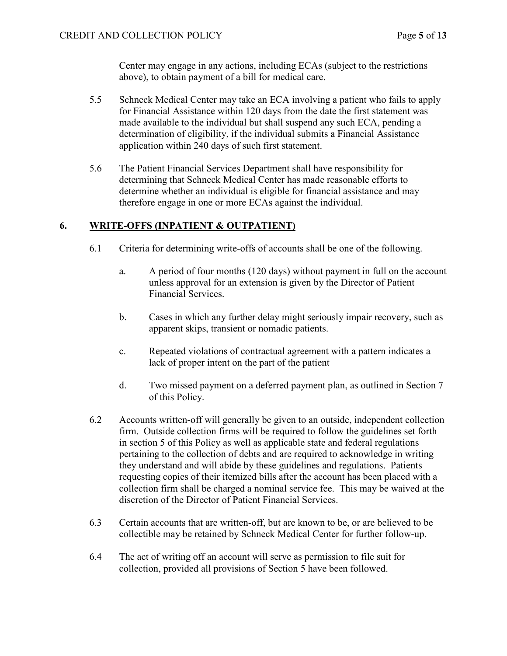Center may engage in any actions, including ECAs (subject to the restrictions above), to obtain payment of a bill for medical care.

- 5.5 Schneck Medical Center may take an ECA involving a patient who fails to apply for Financial Assistance within 120 days from the date the first statement was made available to the individual but shall suspend any such ECA, pending a determination of eligibility, if the individual submits a Financial Assistance application within 240 days of such first statement.
- 5.6 The Patient Financial Services Department shall have responsibility for determining that Schneck Medical Center has made reasonable efforts to determine whether an individual is eligible for financial assistance and may therefore engage in one or more ECAs against the individual.

### **6. WRITE-OFFS (INPATIENT & OUTPATIENT)**

- 6.1 Criteria for determining write-offs of accounts shall be one of the following.
	- a. A period of four months (120 days) without payment in full on the account unless approval for an extension is given by the Director of Patient Financial Services.
	- b. Cases in which any further delay might seriously impair recovery, such as apparent skips, transient or nomadic patients.
	- c. Repeated violations of contractual agreement with a pattern indicates a lack of proper intent on the part of the patient
	- d. Two missed payment on a deferred payment plan, as outlined in Section 7 of this Policy.
- 6.2 Accounts written-off will generally be given to an outside, independent collection firm. Outside collection firms will be required to follow the guidelines set forth in section 5 of this Policy as well as applicable state and federal regulations pertaining to the collection of debts and are required to acknowledge in writing they understand and will abide by these guidelines and regulations. Patients requesting copies of their itemized bills after the account has been placed with a collection firm shall be charged a nominal service fee. This may be waived at the discretion of the Director of Patient Financial Services.
- 6.3 Certain accounts that are written-off, but are known to be, or are believed to be collectible may be retained by Schneck Medical Center for further follow-up.
- 6.4 The act of writing off an account will serve as permission to file suit for collection, provided all provisions of Section 5 have been followed.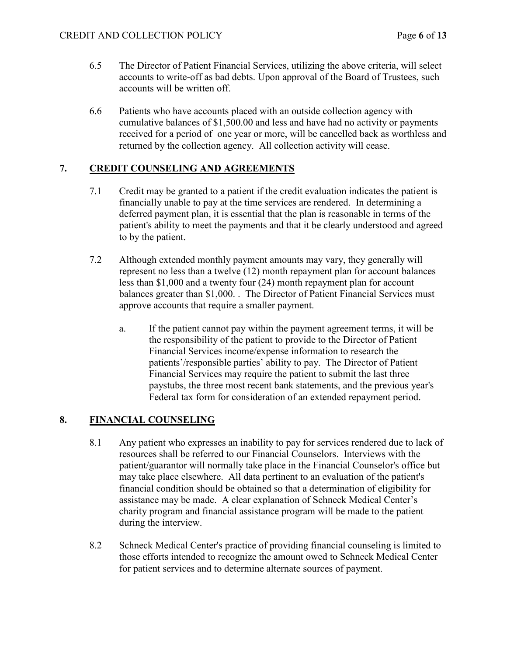- 6.5 The Director of Patient Financial Services, utilizing the above criteria, will select accounts to write-off as bad debts. Upon approval of the Board of Trustees, such accounts will be written off.
- 6.6 Patients who have accounts placed with an outside collection agency with cumulative balances of \$1,500.00 and less and have had no activity or payments received for a period of one year or more, will be cancelled back as worthless and returned by the collection agency. All collection activity will cease.

# **7. CREDIT COUNSELING AND AGREEMENTS**

- 7.1 Credit may be granted to a patient if the credit evaluation indicates the patient is financially unable to pay at the time services are rendered. In determining a deferred payment plan, it is essential that the plan is reasonable in terms of the patient's ability to meet the payments and that it be clearly understood and agreed to by the patient.
- 7.2 Although extended monthly payment amounts may vary, they generally will represent no less than a twelve (12) month repayment plan for account balances less than \$1,000 and a twenty four (24) month repayment plan for account balances greater than \$1,000. . The Director of Patient Financial Services must approve accounts that require a smaller payment.
	- a. If the patient cannot pay within the payment agreement terms, it will be the responsibility of the patient to provide to the Director of Patient Financial Services income/expense information to research the patients'/responsible parties' ability to pay. The Director of Patient Financial Services may require the patient to submit the last three paystubs, the three most recent bank statements, and the previous year's Federal tax form for consideration of an extended repayment period.

### **8. FINANCIAL COUNSELING**

- 8.1 Any patient who expresses an inability to pay for services rendered due to lack of resources shall be referred to our Financial Counselors. Interviews with the patient/guarantor will normally take place in the Financial Counselor's office but may take place elsewhere. All data pertinent to an evaluation of the patient's financial condition should be obtained so that a determination of eligibility for assistance may be made. A clear explanation of Schneck Medical Center's charity program and financial assistance program will be made to the patient during the interview.
- 8.2 Schneck Medical Center's practice of providing financial counseling is limited to those efforts intended to recognize the amount owed to Schneck Medical Center for patient services and to determine alternate sources of payment.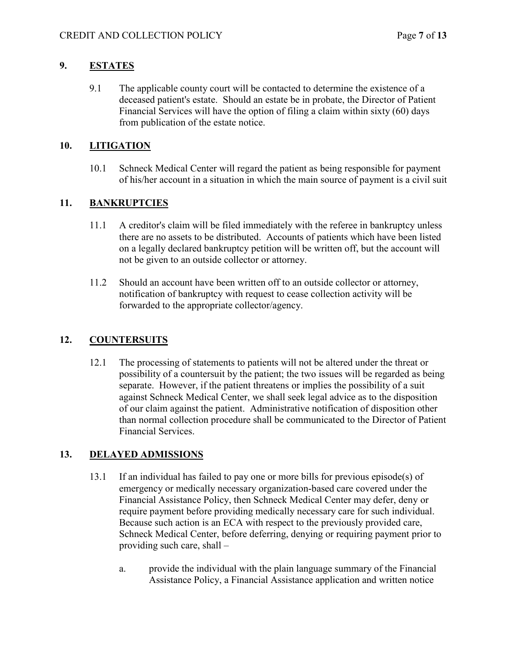# **9. ESTATES**

9.1 The applicable county court will be contacted to determine the existence of a deceased patient's estate. Should an estate be in probate, the Director of Patient Financial Services will have the option of filing a claim within sixty (60) days from publication of the estate notice.

# **10. LITIGATION**

10.1 Schneck Medical Center will regard the patient as being responsible for payment of his/her account in a situation in which the main source of payment is a civil suit

# **11. BANKRUPTCIES**

- 11.1 A creditor's claim will be filed immediately with the referee in bankruptcy unless there are no assets to be distributed. Accounts of patients which have been listed on a legally declared bankruptcy petition will be written off, but the account will not be given to an outside collector or attorney.
- 11.2 Should an account have been written off to an outside collector or attorney, notification of bankruptcy with request to cease collection activity will be forwarded to the appropriate collector/agency.

# **12. COUNTERSUITS**

12.1 The processing of statements to patients will not be altered under the threat or possibility of a countersuit by the patient; the two issues will be regarded as being separate. However, if the patient threatens or implies the possibility of a suit against Schneck Medical Center, we shall seek legal advice as to the disposition of our claim against the patient. Administrative notification of disposition other than normal collection procedure shall be communicated to the Director of Patient Financial Services.

# **13. DELAYED ADMISSIONS**

- 13.1 If an individual has failed to pay one or more bills for previous episode(s) of emergency or medically necessary organization-based care covered under the Financial Assistance Policy, then Schneck Medical Center may defer, deny or require payment before providing medically necessary care for such individual. Because such action is an ECA with respect to the previously provided care, Schneck Medical Center, before deferring, denying or requiring payment prior to providing such care, shall –
	- a. provide the individual with the plain language summary of the Financial Assistance Policy, a Financial Assistance application and written notice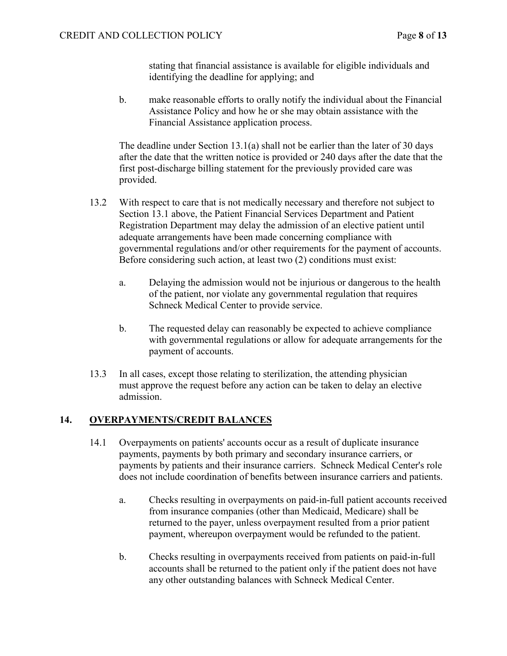stating that financial assistance is available for eligible individuals and identifying the deadline for applying; and

b. make reasonable efforts to orally notify the individual about the Financial Assistance Policy and how he or she may obtain assistance with the Financial Assistance application process.

The deadline under Section 13.1(a) shall not be earlier than the later of 30 days after the date that the written notice is provided or 240 days after the date that the first post-discharge billing statement for the previously provided care was provided.

- 13.2 With respect to care that is not medically necessary and therefore not subject to Section 13.1 above, the Patient Financial Services Department and Patient Registration Department may delay the admission of an elective patient until adequate arrangements have been made concerning compliance with governmental regulations and/or other requirements for the payment of accounts. Before considering such action, at least two (2) conditions must exist:
	- a. Delaying the admission would not be injurious or dangerous to the health of the patient, nor violate any governmental regulation that requires Schneck Medical Center to provide service.
	- b. The requested delay can reasonably be expected to achieve compliance with governmental regulations or allow for adequate arrangements for the payment of accounts.
- 13.3 In all cases, except those relating to sterilization, the attending physician must approve the request before any action can be taken to delay an elective admission.

#### **14. OVERPAYMENTS/CREDIT BALANCES**

- 14.1 Overpayments on patients' accounts occur as a result of duplicate insurance payments, payments by both primary and secondary insurance carriers, or payments by patients and their insurance carriers. Schneck Medical Center's role does not include coordination of benefits between insurance carriers and patients.
	- a. Checks resulting in overpayments on paid-in-full patient accounts received from insurance companies (other than Medicaid, Medicare) shall be returned to the payer, unless overpayment resulted from a prior patient payment, whereupon overpayment would be refunded to the patient.
	- b. Checks resulting in overpayments received from patients on paid-in-full accounts shall be returned to the patient only if the patient does not have any other outstanding balances with Schneck Medical Center.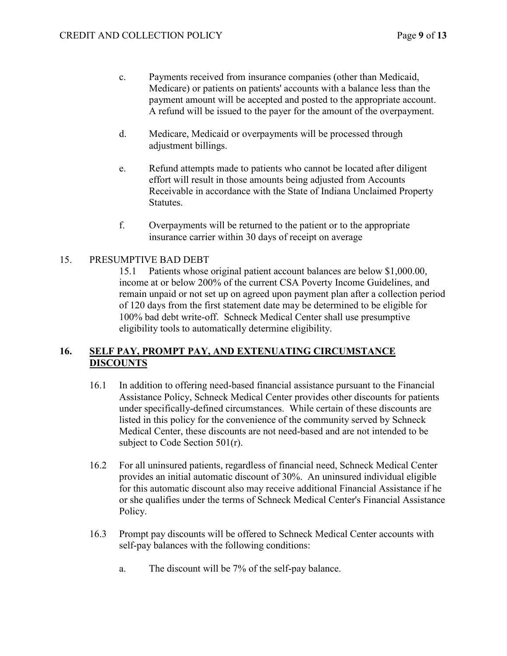- c. Payments received from insurance companies (other than Medicaid, Medicare) or patients on patients' accounts with a balance less than the payment amount will be accepted and posted to the appropriate account. A refund will be issued to the payer for the amount of the overpayment.
- d. Medicare, Medicaid or overpayments will be processed through adjustment billings.
- e. Refund attempts made to patients who cannot be located after diligent effort will result in those amounts being adjusted from Accounts Receivable in accordance with the State of Indiana Unclaimed Property Statutes.
- f. Overpayments will be returned to the patient or to the appropriate insurance carrier within 30 days of receipt on average

### 15. PRESUMPTIVE BAD DEBT

15.1 Patients whose original patient account balances are below \$1,000.00, income at or below 200% of the current CSA Poverty Income Guidelines, and remain unpaid or not set up on agreed upon payment plan after a collection period of 120 days from the first statement date may be determined to be eligible for 100% bad debt write-off. Schneck Medical Center shall use presumptive eligibility tools to automatically determine eligibility.

## **16. SELF PAY, PROMPT PAY, AND EXTENUATING CIRCUMSTANCE DISCOUNTS**

- 16.1 In addition to offering need-based financial assistance pursuant to the Financial Assistance Policy, Schneck Medical Center provides other discounts for patients under specifically-defined circumstances. While certain of these discounts are listed in this policy for the convenience of the community served by Schneck Medical Center, these discounts are not need-based and are not intended to be subject to Code Section 501(r).
- 16.2 For all uninsured patients, regardless of financial need, Schneck Medical Center provides an initial automatic discount of 30%. An uninsured individual eligible for this automatic discount also may receive additional Financial Assistance if he or she qualifies under the terms of Schneck Medical Center's Financial Assistance Policy.
- 16.3 Prompt pay discounts will be offered to Schneck Medical Center accounts with self-pay balances with the following conditions:
	- a. The discount will be 7% of the self-pay balance.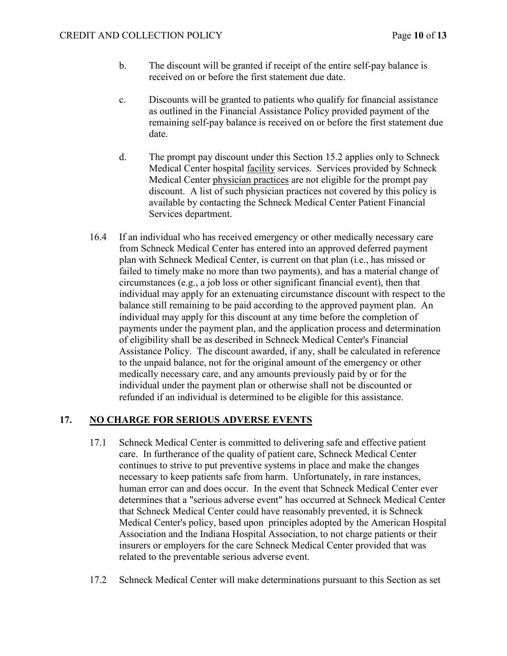- b. The discount will be granted if receipt of the entire self-pay balance is received on or before the first statement due date.
- c. Discounts will be granted to patients who qualify for financial assistance as outlined in the Financial Assistance Policy provided payment of the remaining self-pay balance is received on or before the first statement due date.
- d. The prompt pay discount under this Section 15.2 applies only to Schneck Medical Center hospital facility services. Services provided by Schneck Medical Center physician practices are not eligible for the prompt pay discount. A list of such physician practices not covered by this policy is available by contacting the Schneck Medical Center Patient Financial Services department.
- 16.4 If an individual who has received emergency or other medically necessary care from Schneck Medical Center has entered into an approved deferred payment plan with Schneck Medical Center, is current on that plan (i.e., has missed or failed to timely make no more than two payments), and has a material change of circumstances (e.g., a job loss or other significant financial event), then that individual may apply for an extenuating circumstance discount with respect to the balance still remaining to be paid according to the approved payment plan. An individual may apply for this discount at any time before the completion of payments under the payment plan, and the application process and determination of eligibility shall be as described in Schneck Medical Center's Financial Assistance Policy. The discount awarded, if any, shall be calculated in reference to the unpaid balance, not for the original amount of the emergency or other medically necessary care, and any amounts previously paid by or for the individual under the payment plan or otherwise shall not be discounted or refunded if an individual is determined to be eligible for this assistance.

# **17. NO CHARGE FOR SERIOUS ADVERSE EVENTS**

- 17.1 Schneck Medical Center is committed to delivering safe and effective patient care. In furtherance of the quality of patient care, Schneck Medical Center continues to strive to put preventive systems in place and make the changes necessary to keep patients safe from harm. Unfortunately, in rare instances, human error can and does occur. In the event that Schneck Medical Center ever determines that a "serious adverse event" has occurred at Schneck Medical Center that Schneck Medical Center could have reasonably prevented, it is Schneck Medical Center's policy, based upon principles adopted by the American Hospital Association and the Indiana Hospital Association, to not charge patients or their insurers or employers for the care Schneck Medical Center provided that was related to the preventable serious adverse event.
- 17.2 Schneck Medical Center will make determinations pursuant to this Section as set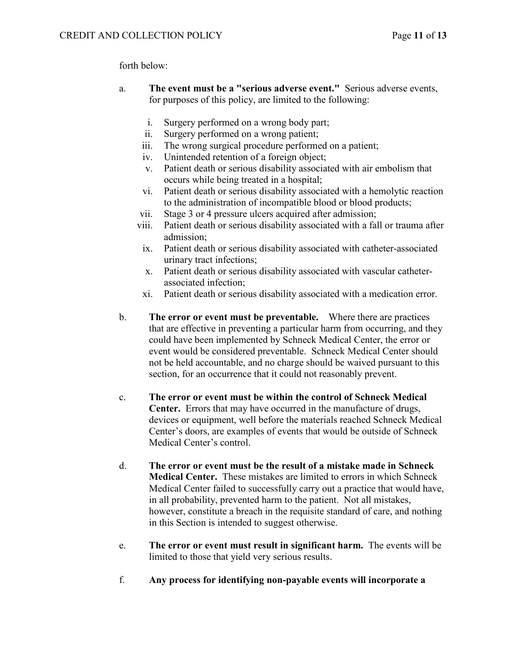forth below:

- a. **The event must be a "serious adverse event."** Serious adverse events, for purposes of this policy, are limited to the following:
	- i. Surgery performed on a wrong body part;
	- ii. Surgery performed on a wrong patient;
	- iii. The wrong surgical procedure performed on a patient;
	- iv. Unintended retention of a foreign object;
	- v. Patient death or serious disability associated with air embolism that occurs while being treated in a hospital;
	- vi. Patient death or serious disability associated with a hemolytic reaction to the administration of incompatible blood or blood products;
	- vii. Stage 3 or 4 pressure ulcers acquired after admission;
	- viii. Patient death or serious disability associated with a fall or trauma after admission;
	- ix. Patient death or serious disability associated with catheter-associated urinary tract infections;
	- x. Patient death or serious disability associated with vascular catheterassociated infection;
	- xi. Patient death or serious disability associated with a medication error.
- b. **The error or event must be preventable.** Where there are practices that are effective in preventing a particular harm from occurring, and they could have been implemented by Schneck Medical Center, the error or event would be considered preventable. Schneck Medical Center should not be held accountable, and no charge should be waived pursuant to this section, for an occurrence that it could not reasonably prevent.
- c. **The error or event must be within the control of Schneck Medical Center.** Errors that may have occurred in the manufacture of drugs, devices or equipment, well before the materials reached Schneck Medical Center's doors, are examples of events that would be outside of Schneck Medical Center's control.
- d. **The error or event must be the result of a mistake made in Schneck Medical Center.** These mistakes are limited to errors in which Schneck Medical Center failed to successfully carry out a practice that would have, in all probability, prevented harm to the patient. Not all mistakes, however, constitute a breach in the requisite standard of care, and nothing in this Section is intended to suggest otherwise.
- e. **The error or event must result in significant harm.** The events will be limited to those that yield very serious results.
- f. **Any process for identifying non-payable events will incorporate a**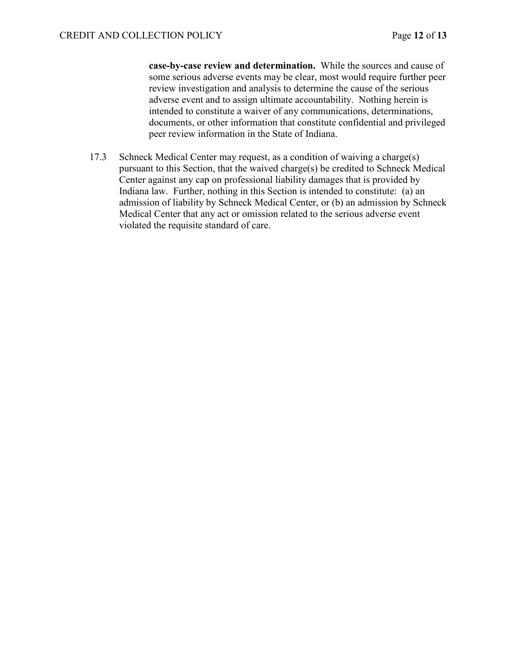**case-by-case review and determination.** While the sources and cause of some serious adverse events may be clear, most would require further peer review investigation and analysis to determine the cause of the serious adverse event and to assign ultimate accountability. Nothing herein is intended to constitute a waiver of any communications, determinations, documents, or other information that constitute confidential and privileged peer review information in the State of Indiana.

17.3 Schneck Medical Center may request, as a condition of waiving a charge(s) pursuant to this Section, that the waived charge(s) be credited to Schneck Medical Center against any cap on professional liability damages that is provided by Indiana law. Further, nothing in this Section is intended to constitute: (a) an admission of liability by Schneck Medical Center, or (b) an admission by Schneck Medical Center that any act or omission related to the serious adverse event violated the requisite standard of care.